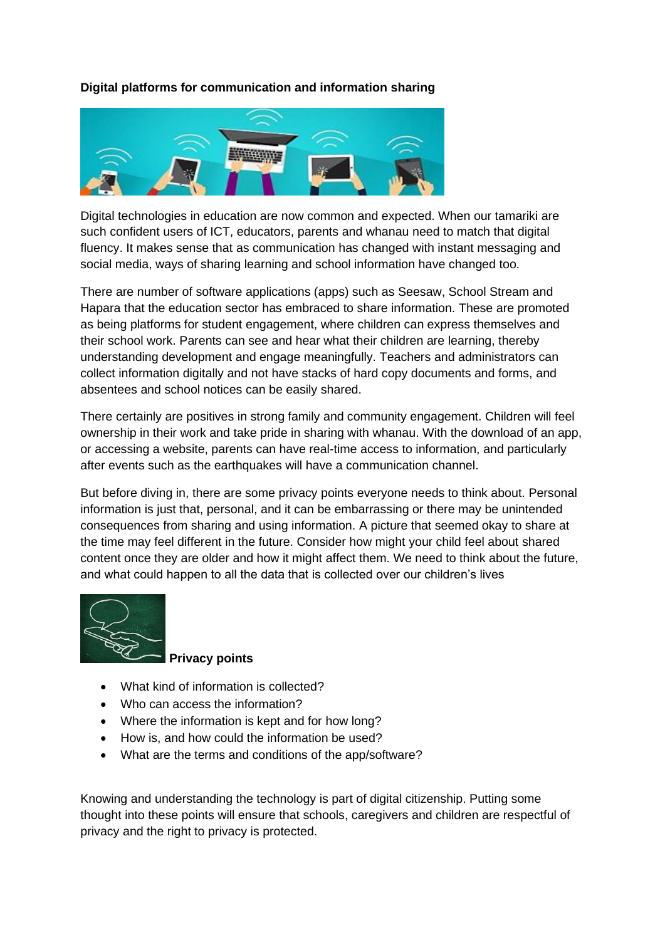## **Digital platforms for communication and information sharing**



Digital technologies in education are now common and expected. When our tamariki are such confident users of ICT, educators, parents and whanau need to match that digital fluency. It makes sense that as communication has changed with instant messaging and social media, ways of sharing learning and school information have changed too.

There are number of software applications (apps) such as Seesaw, School Stream and Hapara that the education sector has embraced to share information. These are promoted as being platforms for student engagement, where children can express themselves and their school work. Parents can see and hear what their children are learning, thereby understanding development and engage meaningfully. Teachers and administrators can collect information digitally and not have stacks of hard copy documents and forms, and absentees and school notices can be easily shared.

There certainly are positives in strong family and community engagement. Children will feel ownership in their work and take pride in sharing with whanau. With the download of an app, or accessing a website, parents can have real-time access to information, and particularly after events such as the earthquakes will have a communication channel.

But before diving in, there are some privacy points everyone needs to think about. Personal information is just that, personal, and it can be embarrassing or there may be unintended consequences from sharing and using information. A picture that seemed okay to share at the time may feel different in the future. Consider how might your child feel about shared content once they are older and how it might affect them. We need to think about the future, and what could happen to all the data that is collected over our children's lives



## **Privacy points**

- What kind of information is collected?
- Who can access the information?
- Where the information is kept and for how long?
- How is, and how could the information be used?
- What are the terms and conditions of the app/software?

Knowing and understanding the technology is part of digital citizenship. Putting some thought into these points will ensure that schools, caregivers and children are respectful of privacy and the right to privacy is protected.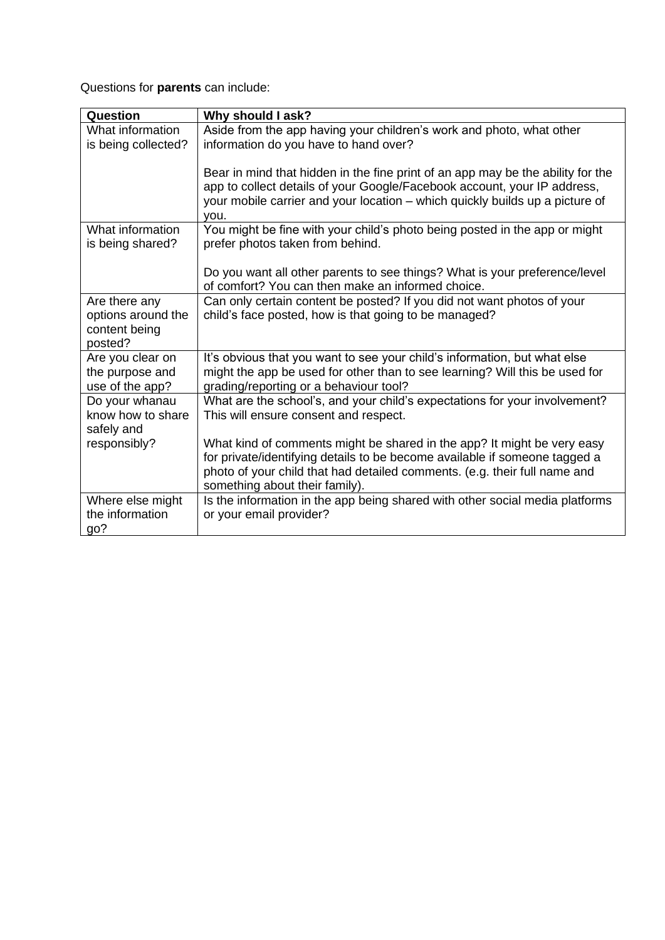Questions for **parents** can include:

| Question            | Why should I ask?                                                               |
|---------------------|---------------------------------------------------------------------------------|
| What information    | Aside from the app having your children's work and photo, what other            |
| is being collected? | information do you have to hand over?                                           |
|                     |                                                                                 |
|                     | Bear in mind that hidden in the fine print of an app may be the ability for the |
|                     | app to collect details of your Google/Facebook account, your IP address,        |
|                     | your mobile carrier and your location - which quickly builds up a picture of    |
|                     | you.                                                                            |
| What information    | You might be fine with your child's photo being posted in the app or might      |
| is being shared?    | prefer photos taken from behind.                                                |
|                     |                                                                                 |
|                     | Do you want all other parents to see things? What is your preference/level      |
|                     | of comfort? You can then make an informed choice.                               |
| Are there any       | Can only certain content be posted? If you did not want photos of your          |
| options around the  | child's face posted, how is that going to be managed?                           |
| content being       |                                                                                 |
| posted?             |                                                                                 |
| Are you clear on    | It's obvious that you want to see your child's information, but what else       |
| the purpose and     | might the app be used for other than to see learning? Will this be used for     |
| use of the app?     | grading/reporting or a behaviour tool?                                          |
| Do your whanau      | What are the school's, and your child's expectations for your involvement?      |
| know how to share   | This will ensure consent and respect.                                           |
| safely and          |                                                                                 |
| responsibly?        | What kind of comments might be shared in the app? It might be very easy         |
|                     | for private/identifying details to be become available if someone tagged a      |
|                     | photo of your child that had detailed comments. (e.g. their full name and       |
|                     | something about their family).                                                  |
| Where else might    | Is the information in the app being shared with other social media platforms    |
| the information     | or your email provider?                                                         |
| go?                 |                                                                                 |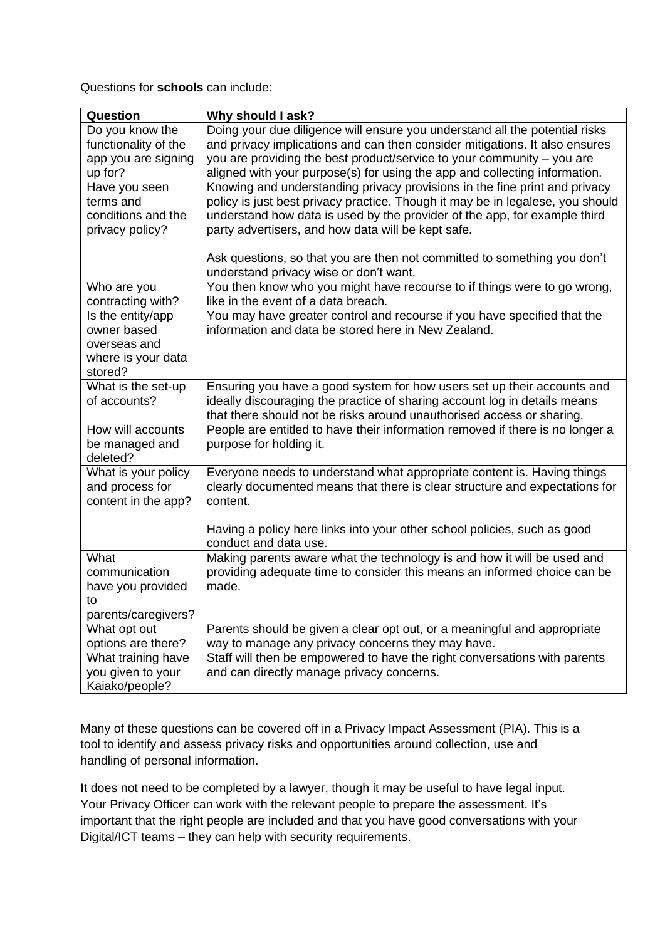Questions for **schools** can include:

| Question             | Why should I ask?                                                                                                  |
|----------------------|--------------------------------------------------------------------------------------------------------------------|
| Do you know the      | Doing your due diligence will ensure you understand all the potential risks                                        |
| functionality of the | and privacy implications and can then consider mitigations. It also ensures                                        |
| app you are signing  | you are providing the best product/service to your community - you are                                             |
| up for?              | aligned with your purpose(s) for using the app and collecting information.                                         |
| Have you seen        | Knowing and understanding privacy provisions in the fine print and privacy                                         |
| terms and            | policy is just best privacy practice. Though it may be in legalese, you should                                     |
| conditions and the   | understand how data is used by the provider of the app, for example third                                          |
| privacy policy?      | party advertisers, and how data will be kept safe.                                                                 |
|                      |                                                                                                                    |
|                      | Ask questions, so that you are then not committed to something you don't<br>understand privacy wise or don't want. |
| Who are you          | You then know who you might have recourse to if things were to go wrong,                                           |
| contracting with?    | like in the event of a data breach.                                                                                |
| Is the entity/app    | You may have greater control and recourse if you have specified that the                                           |
| owner based          | information and data be stored here in New Zealand.                                                                |
| overseas and         |                                                                                                                    |
| where is your data   |                                                                                                                    |
| stored?              |                                                                                                                    |
| What is the set-up   | Ensuring you have a good system for how users set up their accounts and                                            |
| of accounts?         | ideally discouraging the practice of sharing account log in details means                                          |
|                      | that there should not be risks around unauthorised access or sharing.                                              |
| How will accounts    | People are entitled to have their information removed if there is no longer a                                      |
| be managed and       | purpose for holding it.                                                                                            |
| deleted?             |                                                                                                                    |
| What is your policy  | Everyone needs to understand what appropriate content is. Having things                                            |
| and process for      | clearly documented means that there is clear structure and expectations for                                        |
| content in the app?  | content.                                                                                                           |
|                      | Having a policy here links into your other school policies, such as good                                           |
|                      | conduct and data use.                                                                                              |
| What                 | Making parents aware what the technology is and how it will be used and                                            |
| communication        | providing adequate time to consider this means an informed choice can be                                           |
| have you provided    | made.                                                                                                              |
| to                   |                                                                                                                    |
| parents/caregivers?  |                                                                                                                    |
| What opt out         | Parents should be given a clear opt out, or a meaningful and appropriate                                           |
| options are there?   | way to manage any privacy concerns they may have.                                                                  |
| What training have   | Staff will then be empowered to have the right conversations with parents                                          |
| you given to your    | and can directly manage privacy concerns.                                                                          |
| Kaiako/people?       |                                                                                                                    |

Many of these questions can be covered off in a Privacy Impact Assessment (PIA). This is a tool to identify and assess privacy risks and opportunities around collection, use and handling of personal information.

It does not need to be completed by a lawyer, though it may be useful to have legal input. Your Privacy Officer can work with the relevant people to prepare the assessment. It's important that the right people are included and that you have good conversations with your Digital/ICT teams – they can help with security requirements.